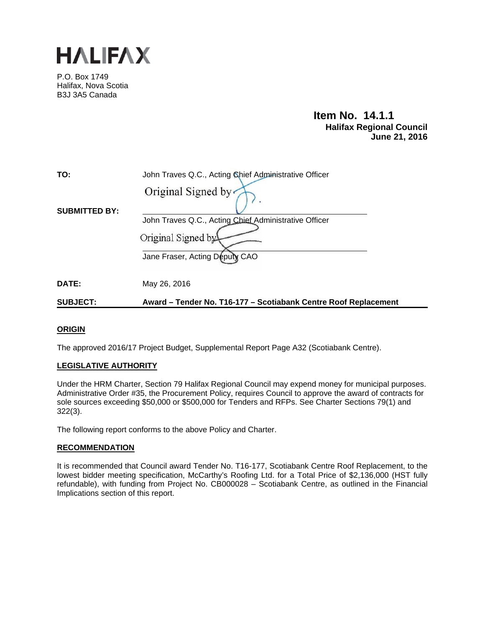

P.O. Box 1749 Halifax, Nova Scotia B3J 3A5 Canada

# **Item No. 14.1.1 Halifax Regional Council June 21, 2016**

| TO:                  | John Traves Q.C., Acting Chief Administrative Officer           |
|----------------------|-----------------------------------------------------------------|
|                      | Original Signed by                                              |
| <b>SUBMITTED BY:</b> | John Traves Q.C., Acting Chief Administrative Officer           |
|                      | Original Signed by                                              |
|                      | Jane Fraser, Acting Deputy CAO                                  |
| DATE:                | May 26, 2016                                                    |
| <b>SUBJECT:</b>      | Award – Tender No. T16-177 – Scotiabank Centre Roof Replacement |

## **ORIGIN**

The approved 2016/17 Project Budget, Supplemental Report Page A32 (Scotiabank Centre).

## **LEGISLATIVE AUTHORITY**

Under the HRM Charter, Section 79 Halifax Regional Council may expend money for municipal purposes. Administrative Order #35, the Procurement Policy, requires Council to approve the award of contracts for sole sources exceeding \$50,000 or \$500,000 for Tenders and RFPs. See Charter Sections 79(1) and 322(3).

The following report conforms to the above Policy and Charter.

## **RECOMMENDATION**

It is recommended that Council award Tender No. T16-177, Scotiabank Centre Roof Replacement, to the lowest bidder meeting specification, McCarthy's Roofing Ltd. for a Total Price of \$2,136,000 (HST fully refundable), with funding from Project No. CB000028 - Scotiabank Centre, as outlined in the Financial Implications section of this report.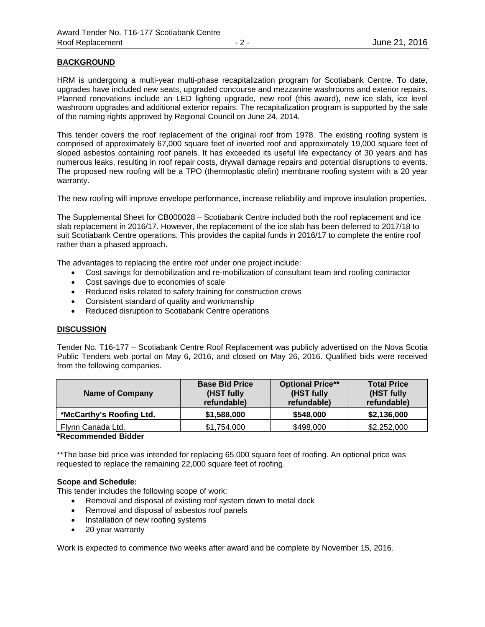## **BACKGROUND**

HRM is undergoing a multi-year multi-phase recapitalization program for Scotiabank Centre. To date, upgrades have included new seats, upgraded concourse and mezzanine washrooms and exterior repairs. Planned renovations include an LED lighting upgrade, new roof (this award), new ice slab, ice level washroom upgrades and additional exterior repairs. The recapitalization program is supported by the sale of the naming rights approved by Regional Council on June 24, 2014.

This tender covers the roof replacement of the original roof from 1978. The existing roofing system is comprised of approximately 67,000 square feet of inverted roof and approximately 19,000 square feet of sloped asbestos containing roof panels. It has exceeded its useful life expectancy of 30 years and has numerous leaks, resulting in roof repair costs, drywall damage repairs and potential disruptions to events. The proposed new roofing will be a TPO (thermoplastic olefin) membrane roofing system with a 20 year warranty.

The new roofing will improve envelope performance, increase reliability and improve insulation properties.

The Supplemental Sheet for CB000028 – Scotiabank Centre included both the roof replacement and ice slab replacement in 2016/17. However, the replacement of the ice slab has been deferred to 2017/18 to suit Scotiabank Centre operations. This provides the capital funds in 2016/17 to complete the entire roof rather than a phased approach.

The advantages to replacing the entire roof under one project include:

- Cost savings for demobilization and re-mobilization of consultant team and roofing contractor
- Cost savings due to economies of scale
- Reduced risks related to safety training for construction crews
- Consistent standard of quality and workmanship
- Reduced disruption to Scotiabank Centre operations

## **DISCUSSION**

Tender No. T16-177 – Scotiabank Centre Roof Replacemen**t** was publicly advertised on the Nova Scotia Public Tenders web portal on May 6, 2016, and closed on May 26, 2016. Qualified bids were received from the following companies.

| <b>Name of Company</b>                 | <b>Base Bid Price</b><br>(HST fully<br>refundable) | <b>Optional Price**</b><br>(HST fully<br>refundable) | <b>Total Price</b><br>(HST fully<br>refundable) |  |  |
|----------------------------------------|----------------------------------------------------|------------------------------------------------------|-------------------------------------------------|--|--|
| *McCarthy's Roofing Ltd.               | \$1,588,000                                        | \$548,000                                            | \$2,136,000                                     |  |  |
| Flynn Canada Ltd.                      | \$1,754,000                                        | \$498,000                                            | \$2,252,000                                     |  |  |
| $\mathbf{r}$ . The set of $\mathbf{r}$ |                                                    |                                                      |                                                 |  |  |

#### **\*Recommended Bidder**

\*\*The base bid price was intended for replacing 65,000 square feet of roofing. An optional price was requested to replace the remaining 22,000 square feet of roofing.

## **Scope and Schedule:**

This tender includes the following scope of work:

- Removal and disposal of existing roof system down to metal deck
- Removal and disposal of asbestos roof panels
- Installation of new roofing systems
- 20 year warranty

Work is expected to commence two weeks after award and be complete by November 15, 2016.